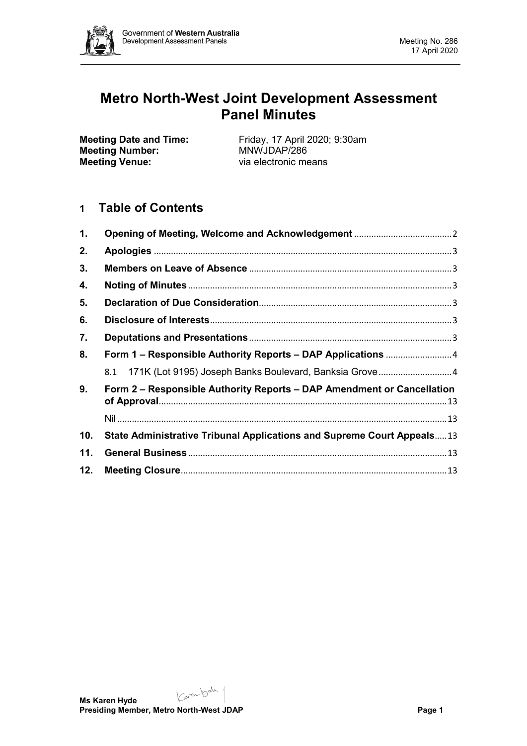

# **Metro North-West Joint Development Assessment Panel Minutes**

**Meeting Number:**<br>Meeting Venue:

**Meeting Date and Time:** Friday, 17 April 2020; 9:30am<br> **Meeting Number:** MNWJDAP/286 via electronic means

# **1 Table of Contents**

| 1.  |                                                                        |  |  |  |
|-----|------------------------------------------------------------------------|--|--|--|
| 2.  |                                                                        |  |  |  |
| 3.  |                                                                        |  |  |  |
| 4.  |                                                                        |  |  |  |
| 5.  |                                                                        |  |  |  |
| 6.  |                                                                        |  |  |  |
| 7.  |                                                                        |  |  |  |
| 8.  |                                                                        |  |  |  |
|     |                                                                        |  |  |  |
| 9.  | Form 2 - Responsible Authority Reports - DAP Amendment or Cancellation |  |  |  |
|     |                                                                        |  |  |  |
| 10. | State Administrative Tribunal Applications and Supreme Court Appeals13 |  |  |  |
| 11. |                                                                        |  |  |  |
| 12. |                                                                        |  |  |  |

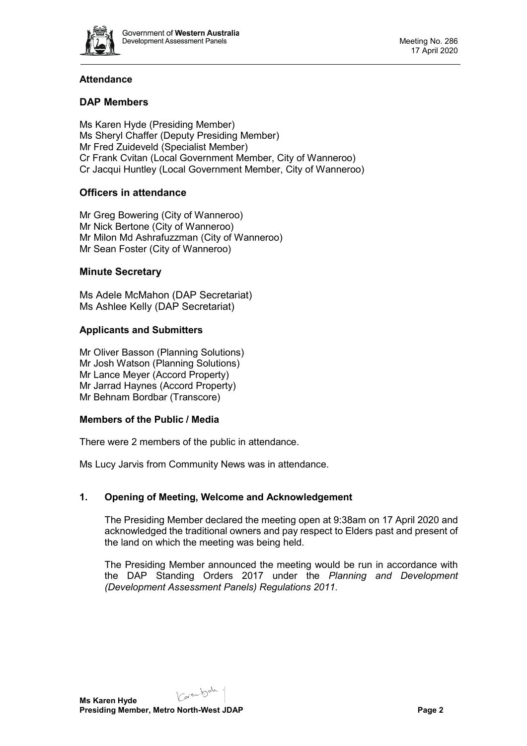

# **Attendance**

# **DAP Members**

Ms Karen Hyde (Presiding Member) Ms Sheryl Chaffer (Deputy Presiding Member) Mr Fred Zuideveld (Specialist Member) Cr Frank Cvitan (Local Government Member, City of Wanneroo) Cr Jacqui Huntley (Local Government Member, City of Wanneroo)

# **Officers in attendance**

Mr Greg Bowering (City of Wanneroo) Mr Nick Bertone (City of Wanneroo) Mr Milon Md Ashrafuzzman (City of Wanneroo) Mr Sean Foster (City of Wanneroo)

### **Minute Secretary**

Ms Adele McMahon (DAP Secretariat) Ms Ashlee Kelly (DAP Secretariat)

### **Applicants and Submitters**

Mr Oliver Basson (Planning Solutions) Mr Josh Watson (Planning Solutions) Mr Lance Meyer (Accord Property) Mr Jarrad Haynes (Accord Property) Mr Behnam Bordbar (Transcore)

### **Members of the Public / Media**

There were 2 members of the public in attendance.

Ms Lucy Jarvis from Community News was in attendance.

### <span id="page-1-0"></span>**1. Opening of Meeting, Welcome and Acknowledgement**

The Presiding Member declared the meeting open at 9:38am on 17 April 2020 and acknowledged the traditional owners and pay respect to Elders past and present of the land on which the meeting was being held.

The Presiding Member announced the meeting would be run in accordance with the DAP Standing Orders 2017 under the *Planning and Development (Development Assessment Panels) Regulations 2011.*

Carentsale.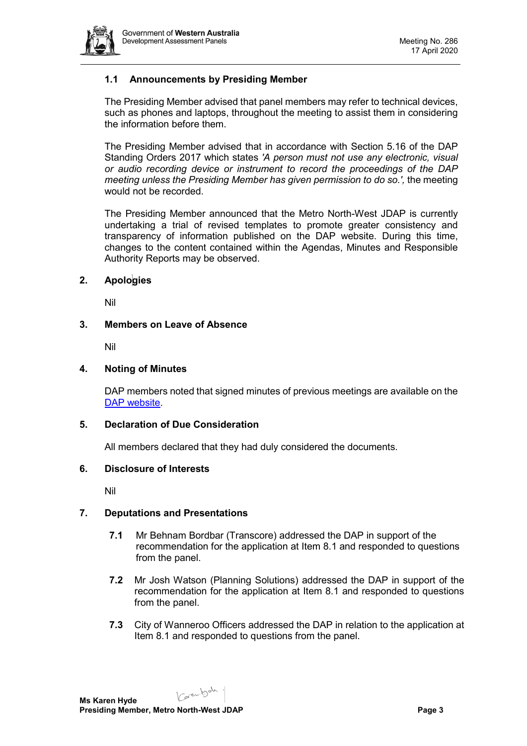

# **1.1 Announcements by Presiding Member**

The Presiding Member advised that panel members may refer to technical devices, such as phones and laptops, throughout the meeting to assist them in considering the information before them.

The Presiding Member advised that in accordance with Section 5.16 of the DAP Standing Orders 2017 which states *'A person must not use any electronic, visual or audio recording device or instrument to record the proceedings of the DAP meeting unless the Presiding Member has given permission to do so.',* the meeting would not be recorded.

The Presiding Member announced that the Metro North-West JDAP is currently undertaking a trial of revised templates to promote greater consistency and transparency of information published on the DAP website. During this time, changes to the content contained within the Agendas, Minutes and Responsible Authority Reports may be observed.

#### <span id="page-2-0"></span>**2. Apologies**

Nil

#### <span id="page-2-1"></span>**3. Members on Leave of Absence**

Nil

#### <span id="page-2-2"></span>**4. Noting of Minutes**

DAP members noted that signed minutes of previous meetings are available on the [DAP website.](https://www.dplh.wa.gov.au/about/development-assessment-panels/daps-agendas-and-minutes)

#### <span id="page-2-3"></span>**5. Declaration of Due Consideration**

All members declared that they had duly considered the documents.

#### <span id="page-2-4"></span>**6. Disclosure of Interests**

Nil

#### <span id="page-2-5"></span>**7. Deputations and Presentations**

- **7.1** Mr Behnam Bordbar (Transcore) addressed the DAP in support of the recommendation for the application at Item 8.1 and responded to questions from the panel.
- **7.2** Mr Josh Watson (Planning Solutions) addressed the DAP in support of the recommendation for the application at Item 8.1 and responded to questions from the panel.
- **7.3** City of Wanneroo Officers addressed the DAP in relation to the application at Item 8.1 and responded to questions from the panel.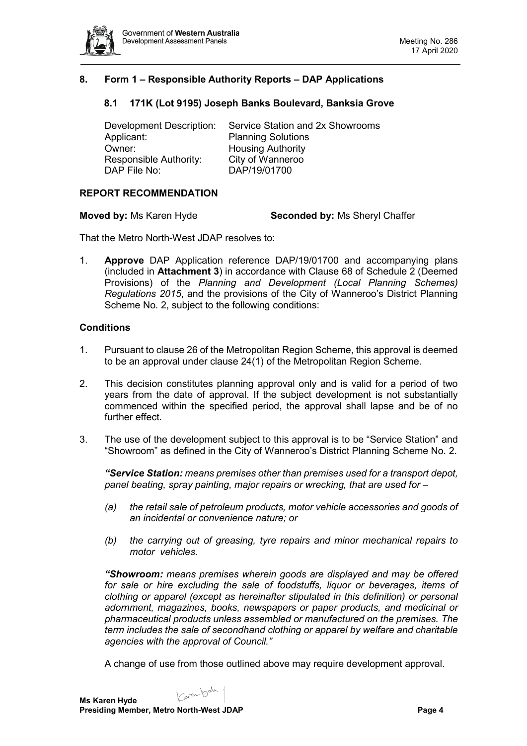

## <span id="page-3-1"></span><span id="page-3-0"></span>**8. Form 1 – Responsible Authority Reports – DAP Applications**

### **8.1 171K (Lot 9195) Joseph Banks Boulevard, Banksia Grove**

| Service Station and 2x Showrooms |
|----------------------------------|
| <b>Planning Solutions</b>        |
| <b>Housing Authority</b>         |
| City of Wanneroo                 |
| DAP/19/01700                     |
|                                  |

#### **REPORT RECOMMENDATION**

**Moved by:** Ms Karen Hyde **Seconded by:** Ms Sheryl Chaffer

That the Metro North-West JDAP resolves to:

1. **Approve** DAP Application reference DAP/19/01700 and accompanying plans (included in **Attachment 3**) in accordance with Clause 68 of Schedule 2 (Deemed Provisions) of the *Planning and Development (Local Planning Schemes) Regulations 2015*, and the provisions of the City of Wanneroo's District Planning Scheme No. 2, subject to the following conditions:

#### **Conditions**

- 1. Pursuant to clause 26 of the Metropolitan Region Scheme, this approval is deemed to be an approval under clause 24(1) of the Metropolitan Region Scheme.
- 2. This decision constitutes planning approval only and is valid for a period of two years from the date of approval. If the subject development is not substantially commenced within the specified period, the approval shall lapse and be of no further effect.
- 3. The use of the development subject to this approval is to be "Service Station" and "Showroom" as defined in the City of Wanneroo's District Planning Scheme No. 2.

*"Service Station: means premises other than premises used for a transport depot, panel beating, spray painting, major repairs or wrecking, that are used for –*

- *(a) the retail sale of petroleum products, motor vehicle accessories and goods of an incidental or convenience nature; or*
- *(b) the carrying out of greasing, tyre repairs and minor mechanical repairs to motor vehicles.*

*"Showroom: means premises wherein goods are displayed and may be offered for sale or hire excluding the sale of foodstuffs, liquor or beverages, items of clothing or apparel (except as hereinafter stipulated in this definition) or personal adornment, magazines, books, newspapers or paper products, and medicinal or pharmaceutical products unless assembled or manufactured on the premises. The term includes the sale of secondhand clothing or apparel by welfare and charitable agencies with the approval of Council."*

A change of use from those outlined above may require development approval.

Karenbah.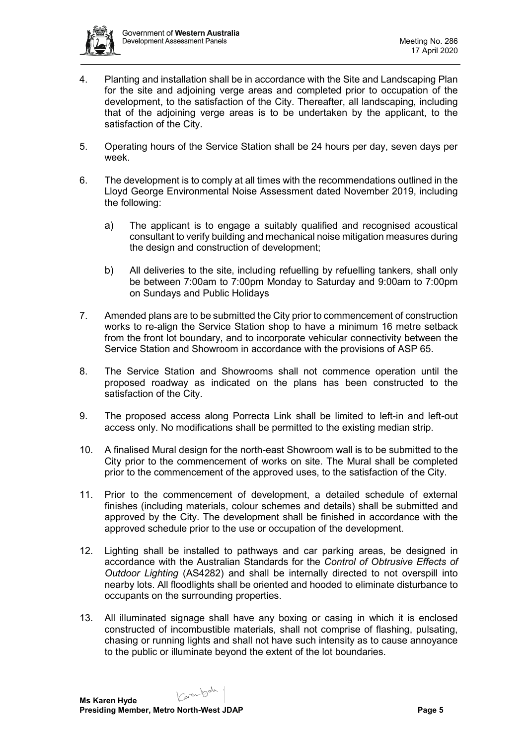

- 4. Planting and installation shall be in accordance with the Site and Landscaping Plan for the site and adjoining verge areas and completed prior to occupation of the development, to the satisfaction of the City. Thereafter, all landscaping, including that of the adjoining verge areas is to be undertaken by the applicant, to the satisfaction of the City.
- 5. Operating hours of the Service Station shall be 24 hours per day, seven days per week.
- 6. The development is to comply at all times with the recommendations outlined in the Lloyd George Environmental Noise Assessment dated November 2019, including the following:
	- a) The applicant is to engage a suitably qualified and recognised acoustical consultant to verify building and mechanical noise mitigation measures during the design and construction of development;
	- b) All deliveries to the site, including refuelling by refuelling tankers, shall only be between 7:00am to 7:00pm Monday to Saturday and 9:00am to 7:00pm on Sundays and Public Holidays
- 7. Amended plans are to be submitted the City prior to commencement of construction works to re-align the Service Station shop to have a minimum 16 metre setback from the front lot boundary, and to incorporate vehicular connectivity between the Service Station and Showroom in accordance with the provisions of ASP 65.
- 8. The Service Station and Showrooms shall not commence operation until the proposed roadway as indicated on the plans has been constructed to the satisfaction of the City.
- 9. The proposed access along Porrecta Link shall be limited to left-in and left-out access only. No modifications shall be permitted to the existing median strip.
- 10. A finalised Mural design for the north-east Showroom wall is to be submitted to the City prior to the commencement of works on site. The Mural shall be completed prior to the commencement of the approved uses, to the satisfaction of the City.
- 11. Prior to the commencement of development, a detailed schedule of external finishes (including materials, colour schemes and details) shall be submitted and approved by the City. The development shall be finished in accordance with the approved schedule prior to the use or occupation of the development.
- 12. Lighting shall be installed to pathways and car parking areas, be designed in accordance with the Australian Standards for the *Control of Obtrusive Effects of Outdoor Lighting* (AS4282) and shall be internally directed to not overspill into nearby lots. All floodlights shall be oriented and hooded to eliminate disturbance to occupants on the surrounding properties.
- 13. All illuminated signage shall have any boxing or casing in which it is enclosed constructed of incombustible materials, shall not comprise of flashing, pulsating, chasing or running lights and shall not have such intensity as to cause annoyance to the public or illuminate beyond the extent of the lot boundaries.

Karen bah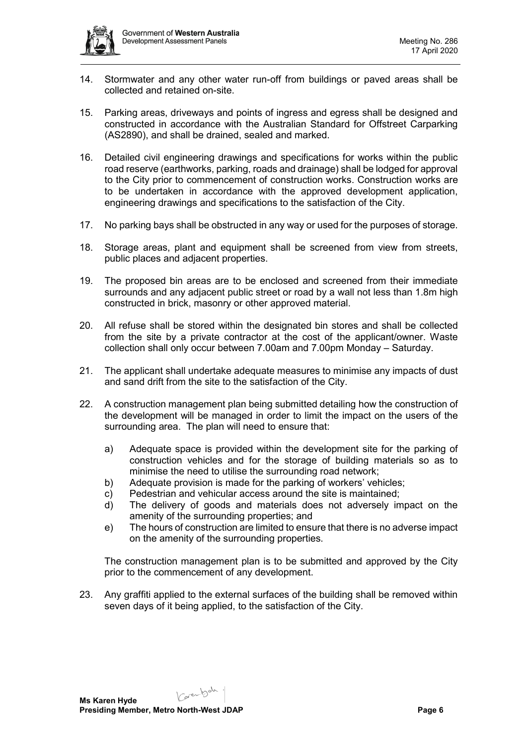- 14. Stormwater and any other water run-off from buildings or paved areas shall be collected and retained on-site.
- 15. Parking areas, driveways and points of ingress and egress shall be designed and constructed in accordance with the Australian Standard for Offstreet Carparking (AS2890), and shall be drained, sealed and marked.
- 16. Detailed civil engineering drawings and specifications for works within the public road reserve (earthworks, parking, roads and drainage) shall be lodged for approval to the City prior to commencement of construction works. Construction works are to be undertaken in accordance with the approved development application, engineering drawings and specifications to the satisfaction of the City.
- 17. No parking bays shall be obstructed in any way or used for the purposes of storage.
- 18. Storage areas, plant and equipment shall be screened from view from streets, public places and adjacent properties.
- 19. The proposed bin areas are to be enclosed and screened from their immediate surrounds and any adjacent public street or road by a wall not less than 1.8m high constructed in brick, masonry or other approved material.
- 20. All refuse shall be stored within the designated bin stores and shall be collected from the site by a private contractor at the cost of the applicant/owner. Waste collection shall only occur between 7.00am and 7.00pm Monday – Saturday.
- 21. The applicant shall undertake adequate measures to minimise any impacts of dust and sand drift from the site to the satisfaction of the City.
- 22. A construction management plan being submitted detailing how the construction of the development will be managed in order to limit the impact on the users of the surrounding area. The plan will need to ensure that:
	- a) Adequate space is provided within the development site for the parking of construction vehicles and for the storage of building materials so as to minimise the need to utilise the surrounding road network;
	- b) Adequate provision is made for the parking of workers' vehicles;
	- c) Pedestrian and vehicular access around the site is maintained;
	- d) The delivery of goods and materials does not adversely impact on the amenity of the surrounding properties; and
	- e) The hours of construction are limited to ensure that there is no adverse impact on the amenity of the surrounding properties.

The construction management plan is to be submitted and approved by the City prior to the commencement of any development.

23. Any graffiti applied to the external surfaces of the building shall be removed within seven days of it being applied, to the satisfaction of the City.

Carentsah.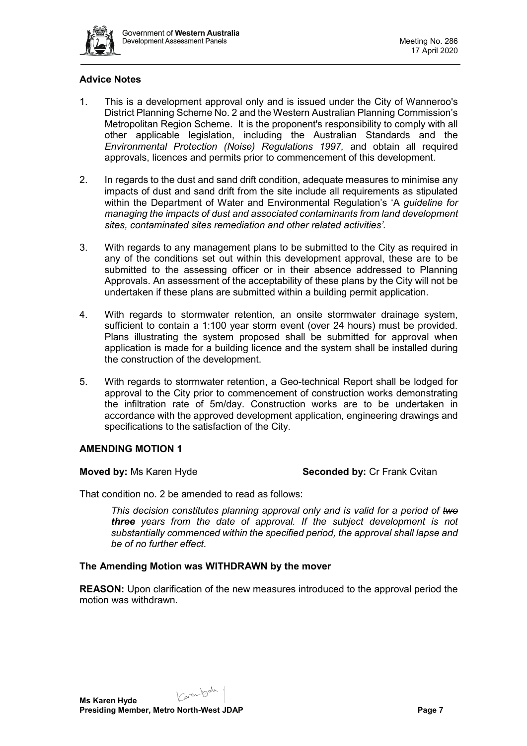

#### **Advice Notes**

- 1. This is a development approval only and is issued under the City of Wanneroo's District Planning Scheme No. 2 and the Western Australian Planning Commission's Metropolitan Region Scheme. It is the proponent's responsibility to comply with all other applicable legislation, including the Australian Standards and the *Environmental Protection (Noise) Regulations 1997,* and obtain all required approvals, licences and permits prior to commencement of this development.
- 2. In regards to the dust and sand drift condition, adequate measures to minimise any impacts of dust and sand drift from the site include all requirements as stipulated within the Department of Water and Environmental Regulation's 'A *guideline for managing the impacts of dust and associated contaminants from land development sites, contaminated sites remediation and other related activities'.*
- 3. With regards to any management plans to be submitted to the City as required in any of the conditions set out within this development approval, these are to be submitted to the assessing officer or in their absence addressed to Planning Approvals. An assessment of the acceptability of these plans by the City will not be undertaken if these plans are submitted within a building permit application.
- 4. With regards to stormwater retention, an onsite stormwater drainage system, sufficient to contain a 1:100 year storm event (over 24 hours) must be provided. Plans illustrating the system proposed shall be submitted for approval when application is made for a building licence and the system shall be installed during the construction of the development.
- 5. With regards to stormwater retention, a Geo-technical Report shall be lodged for approval to the City prior to commencement of construction works demonstrating the infiltration rate of 5m/day. Construction works are to be undertaken in accordance with the approved development application, engineering drawings and specifications to the satisfaction of the City.

### **AMENDING MOTION 1**

#### **Moved by:** Ms Karen Hyde **Seconded by:** Cr Frank Cvitan

That condition no. 2 be amended to read as follows:

*This decision constitutes planning approval only and is valid for a period of two three years from the date of approval. If the subject development is not substantially commenced within the specified period, the approval shall lapse and be of no further effect.*

### **The Amending Motion was WITHDRAWN by the mover**

**REASON:** Upon clarification of the new measures introduced to the approval period the motion was withdrawn.

Karenbah. **Ms Karen Hyde Presiding Member, Metro North-West JDAP Page 7 Page 7**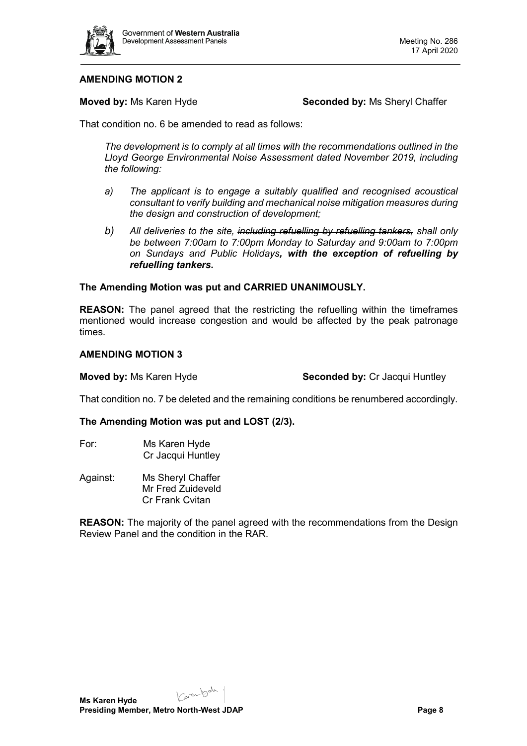

## **AMENDING MOTION 2**

**Moved by:** Ms Karen Hyde **Seconded by:** Ms Sheryl Chaffer

That condition no. 6 be amended to read as follows:

*The development is to comply at all times with the recommendations outlined in the Lloyd George Environmental Noise Assessment dated November 2019, including the following:* 

- *a) The applicant is to engage a suitably qualified and recognised acoustical consultant to verify building and mechanical noise mitigation measures during the design and construction of development;*
- *b) All deliveries to the site, including refuelling by refuelling tankers, shall only be between 7:00am to 7:00pm Monday to Saturday and 9:00am to 7:00pm on Sundays and Public Holidays, with the exception of refuelling by refuelling tankers.*

#### **The Amending Motion was put and CARRIED UNANIMOUSLY.**

**REASON:** The panel agreed that the restricting the refuelling within the timeframes mentioned would increase congestion and would be affected by the peak patronage times.

#### **AMENDING MOTION 3**

**Moved by:** Ms Karen Hyde **Seconded by:** Cr Jacqui Huntley

That condition no. 7 be deleted and the remaining conditions be renumbered accordingly.

#### **The Amending Motion was put and LOST (2/3).**

- For: Ms Karen Hyde Cr Jacqui Huntley
- Against: Ms Sheryl Chaffer Mr Fred Zuideveld Cr Frank Cvitan

**REASON:** The majority of the panel agreed with the recommendations from the Design Review Panel and the condition in the RAR.

Karenbah.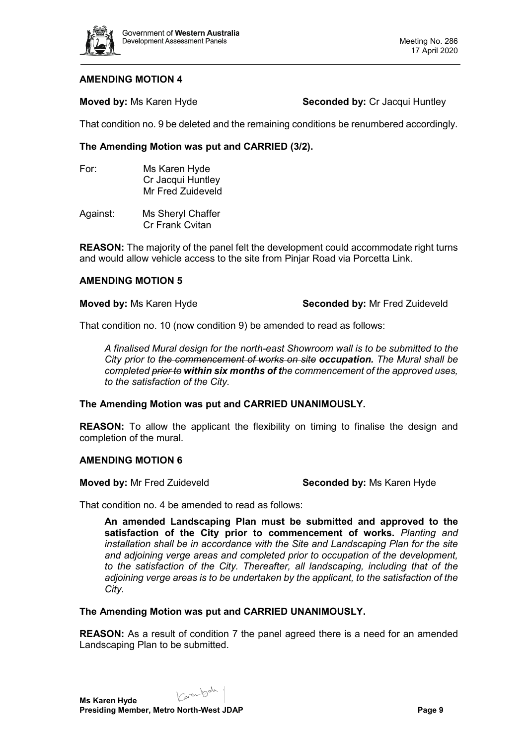

#### **AMENDING MOTION 4**

**Moved by:** Ms Karen Hyde **Seconded by:** Cr Jacqui Huntley

That condition no. 9 be deleted and the remaining conditions be renumbered accordingly.

### **The Amending Motion was put and CARRIED (3/2).**

- For: Ms Karen Hyde Cr Jacqui Huntley Mr Fred Zuideveld
- Against: Ms Sheryl Chaffer Cr Frank Cvitan

**REASON:** The majority of the panel felt the development could accommodate right turns and would allow vehicle access to the site from Pinjar Road via Porcetta Link.

#### **AMENDING MOTION 5**

#### **Moved by:** Ms Karen Hyde **Seconded by:** Mr Fred Zuideveld

That condition no. 10 (now condition 9) be amended to read as follows:

*A finalised Mural design for the north-east Showroom wall is to be submitted to the City prior to the commencement of works on site occupation. The Mural shall be completed prior to within six months of the commencement of the approved uses, to the satisfaction of the City.* 

#### **The Amending Motion was put and CARRIED UNANIMOUSLY.**

**REASON:** To allow the applicant the flexibility on timing to finalise the design and completion of the mural.

### **AMENDING MOTION 6**

**Moved by:** Mr Fred Zuideveld **Seconded by:** Ms Karen Hyde

That condition no. 4 be amended to read as follows:

**An amended Landscaping Plan must be submitted and approved to the satisfaction of the City prior to commencement of works.** *Planting and installation shall be in accordance with the Site and Landscaping Plan for the site and adjoining verge areas and completed prior to occupation of the development, to the satisfaction of the City. Thereafter, all landscaping, including that of the adjoining verge areas is to be undertaken by the applicant, to the satisfaction of the City*.

**The Amending Motion was put and CARRIED UNANIMOUSLY.**

**REASON:** As a result of condition 7 the panel agreed there is a need for an amended Landscaping Plan to be submitted.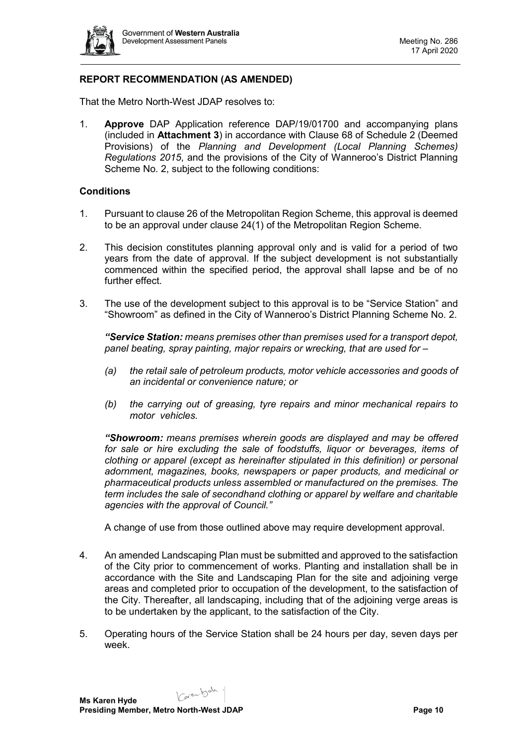

# **REPORT RECOMMENDATION (AS AMENDED)**

That the Metro North-West JDAP resolves to:

1. **Approve** DAP Application reference DAP/19/01700 and accompanying plans (included in **Attachment 3**) in accordance with Clause 68 of Schedule 2 (Deemed Provisions) of the *Planning and Development (Local Planning Schemes) Regulations 2015*, and the provisions of the City of Wanneroo's District Planning Scheme No. 2, subject to the following conditions:

#### **Conditions**

- 1. Pursuant to clause 26 of the Metropolitan Region Scheme, this approval is deemed to be an approval under clause 24(1) of the Metropolitan Region Scheme.
- 2. This decision constitutes planning approval only and is valid for a period of two years from the date of approval. If the subject development is not substantially commenced within the specified period, the approval shall lapse and be of no further effect.
- 3. The use of the development subject to this approval is to be "Service Station" and "Showroom" as defined in the City of Wanneroo's District Planning Scheme No. 2.

*"Service Station: means premises other than premises used for a transport depot, panel beating, spray painting, major repairs or wrecking, that are used for –*

- *(a) the retail sale of petroleum products, motor vehicle accessories and goods of an incidental or convenience nature; or*
- *(b) the carrying out of greasing, tyre repairs and minor mechanical repairs to motor vehicles.*

*"Showroom: means premises wherein goods are displayed and may be offered for sale or hire excluding the sale of foodstuffs, liquor or beverages, items of clothing or apparel (except as hereinafter stipulated in this definition) or personal adornment, magazines, books, newspapers or paper products, and medicinal or pharmaceutical products unless assembled or manufactured on the premises. The term includes the sale of secondhand clothing or apparel by welfare and charitable agencies with the approval of Council."*

A change of use from those outlined above may require development approval.

- 4. An amended Landscaping Plan must be submitted and approved to the satisfaction of the City prior to commencement of works. Planting and installation shall be in accordance with the Site and Landscaping Plan for the site and adjoining verge areas and completed prior to occupation of the development, to the satisfaction of the City. Thereafter, all landscaping, including that of the adjoining verge areas is to be undertaken by the applicant, to the satisfaction of the City.
- 5. Operating hours of the Service Station shall be 24 hours per day, seven days per week.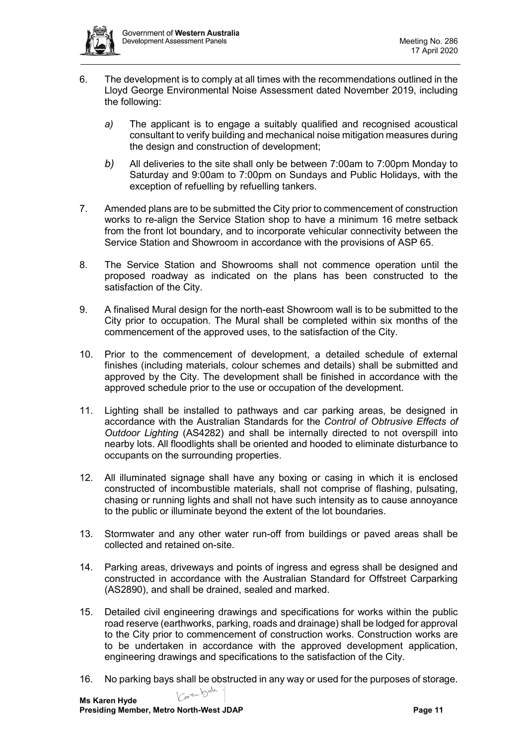

- 6. The development is to comply at all times with the recommendations outlined in the Lloyd George Environmental Noise Assessment dated November 2019, including the following:
	- *a)* The applicant is to engage a suitably qualified and recognised acoustical consultant to verify building and mechanical noise mitigation measures during the design and construction of development;
	- *b)* All deliveries to the site shall only be between 7:00am to 7:00pm Monday to Saturday and 9:00am to 7:00pm on Sundays and Public Holidays, with the exception of refuelling by refuelling tankers.
- 7. Amended plans are to be submitted the City prior to commencement of construction works to re-align the Service Station shop to have a minimum 16 metre setback from the front lot boundary, and to incorporate vehicular connectivity between the Service Station and Showroom in accordance with the provisions of ASP 65.
- 8. The Service Station and Showrooms shall not commence operation until the proposed roadway as indicated on the plans has been constructed to the satisfaction of the City.
- 9. A finalised Mural design for the north-east Showroom wall is to be submitted to the City prior to occupation. The Mural shall be completed within six months of the commencement of the approved uses, to the satisfaction of the City.
- 10. Prior to the commencement of development, a detailed schedule of external finishes (including materials, colour schemes and details) shall be submitted and approved by the City. The development shall be finished in accordance with the approved schedule prior to the use or occupation of the development.
- 11. Lighting shall be installed to pathways and car parking areas, be designed in accordance with the Australian Standards for the *Control of Obtrusive Effects of Outdoor Lighting* (AS4282) and shall be internally directed to not overspill into nearby lots. All floodlights shall be oriented and hooded to eliminate disturbance to occupants on the surrounding properties.
- 12. All illuminated signage shall have any boxing or casing in which it is enclosed constructed of incombustible materials, shall not comprise of flashing, pulsating, chasing or running lights and shall not have such intensity as to cause annoyance to the public or illuminate beyond the extent of the lot boundaries.
- 13. Stormwater and any other water run-off from buildings or paved areas shall be collected and retained on-site.
- 14. Parking areas, driveways and points of ingress and egress shall be designed and constructed in accordance with the Australian Standard for Offstreet Carparking (AS2890), and shall be drained, sealed and marked.
- 15. Detailed civil engineering drawings and specifications for works within the public road reserve (earthworks, parking, roads and drainage) shall be lodged for approval to the City prior to commencement of construction works. Construction works are to be undertaken in accordance with the approved development application, engineering drawings and specifications to the satisfaction of the City.
- 16. No parking bays shall be obstructed in any way or used for the purposes of storage.<br>Me Kang United and North particles in any way or used for the purposes of storage.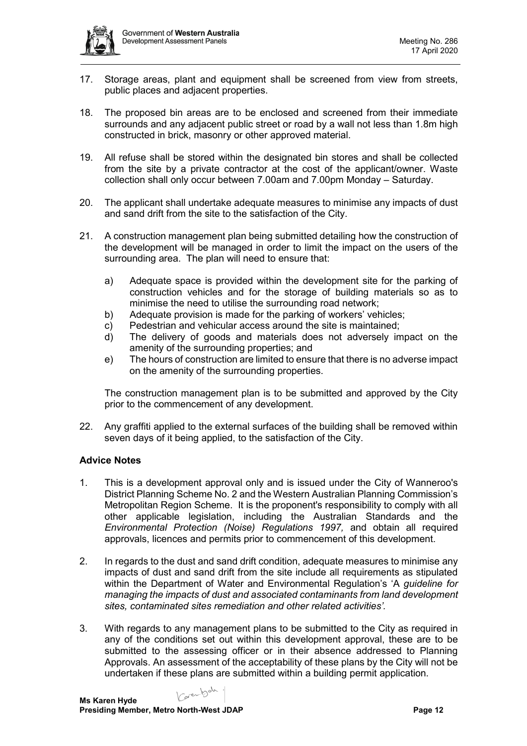

- 17. Storage areas, plant and equipment shall be screened from view from streets, public places and adjacent properties.
- 18. The proposed bin areas are to be enclosed and screened from their immediate surrounds and any adjacent public street or road by a wall not less than 1.8m high constructed in brick, masonry or other approved material.
- 19. All refuse shall be stored within the designated bin stores and shall be collected from the site by a private contractor at the cost of the applicant/owner. Waste collection shall only occur between 7.00am and 7.00pm Monday – Saturday.
- 20. The applicant shall undertake adequate measures to minimise any impacts of dust and sand drift from the site to the satisfaction of the City.
- 21. A construction management plan being submitted detailing how the construction of the development will be managed in order to limit the impact on the users of the surrounding area. The plan will need to ensure that:
	- a) Adequate space is provided within the development site for the parking of construction vehicles and for the storage of building materials so as to minimise the need to utilise the surrounding road network;
	- b) Adequate provision is made for the parking of workers' vehicles;
	- c) Pedestrian and vehicular access around the site is maintained;<br>d) The delivery of goods and materials does not adversely in
	- The delivery of goods and materials does not adversely impact on the amenity of the surrounding properties; and
	- e) The hours of construction are limited to ensure that there is no adverse impact on the amenity of the surrounding properties.

The construction management plan is to be submitted and approved by the City prior to the commencement of any development.

22. Any graffiti applied to the external surfaces of the building shall be removed within seven days of it being applied, to the satisfaction of the City.

### **Advice Notes**

- 1. This is a development approval only and is issued under the City of Wanneroo's District Planning Scheme No. 2 and the Western Australian Planning Commission's Metropolitan Region Scheme. It is the proponent's responsibility to comply with all other applicable legislation, including the Australian Standards and the *Environmental Protection (Noise) Regulations 1997,* and obtain all required approvals, licences and permits prior to commencement of this development.
- 2. In regards to the dust and sand drift condition, adequate measures to minimise any impacts of dust and sand drift from the site include all requirements as stipulated within the Department of Water and Environmental Regulation's 'A *guideline for managing the impacts of dust and associated contaminants from land development sites, contaminated sites remediation and other related activities'.*
- 3. With regards to any management plans to be submitted to the City as required in any of the conditions set out within this development approval, these are to be submitted to the assessing officer or in their absence addressed to Planning Approvals. An assessment of the acceptability of these plans by the City will not be undertaken if these plans are submitted within a building permit application.